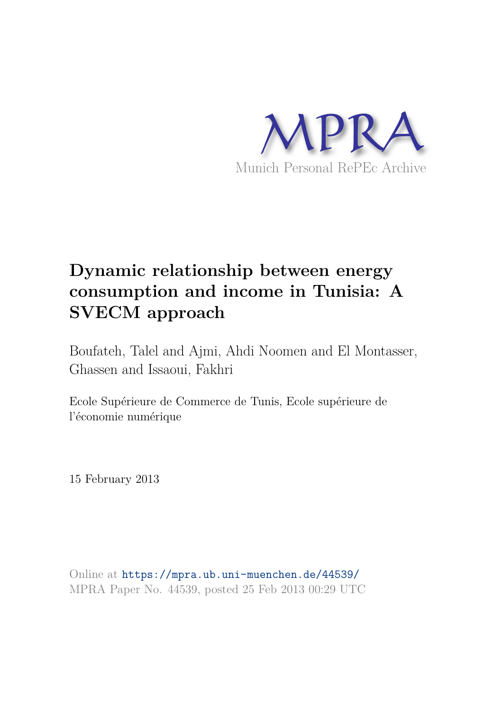

# **Dynamic relationship between energy consumption and income in Tunisia: A SVECM approach**

Boufateh, Talel and Ajmi, Ahdi Noomen and El Montasser, Ghassen and Issaoui, Fakhri

Ecole Supérieure de Commerce de Tunis, Ecole supérieure de l'économie numérique

15 February 2013

Online at https://mpra.ub.uni-muenchen.de/44539/ MPRA Paper No. 44539, posted 25 Feb 2013 00:29 UTC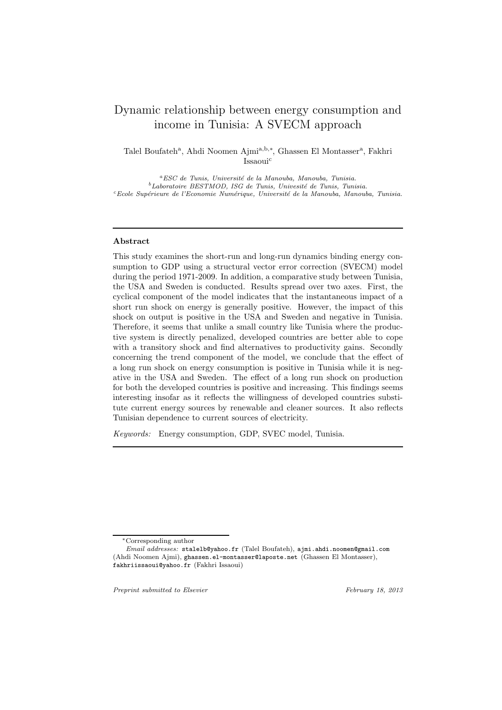# Dynamic relationship between energy consumption and income in Tunisia: A SVECM approach

Talel Boufateh<sup>a</sup>, Ahdi Noomen Ajmi<sup>a,b,∗</sup>, Ghassen El Montasser<sup>a</sup>, Fakhri Issaoui<sup>c</sup>

<sup>a</sup>ESC de Tunis, Université de la Manouba, Manouba, Tunisia.  $^{b}$ Laboratoire BESTMOD, ISG de Tunis, Univesité de Tunis, Tunisia. <sup>c</sup>*Ecole Sup´erieure de l'Economie Num´erique, Universit´e de la Manouba, Manouba, Tunisia.*

# Abstract

This study examines the short-run and long-run dynamics binding energy consumption to GDP using a structural vector error correction (SVECM) model during the period 1971-2009. In addition, a comparative study between Tunisia, the USA and Sweden is conducted. Results spread over two axes. First, the cyclical component of the model indicates that the instantaneous impact of a short run shock on energy is generally positive. However, the impact of this shock on output is positive in the USA and Sweden and negative in Tunisia. Therefore, it seems that unlike a small country like Tunisia where the productive system is directly penalized, developed countries are better able to cope with a transitory shock and find alternatives to productivity gains. Secondly concerning the trend component of the model, we conclude that the effect of a long run shock on energy consumption is positive in Tunisia while it is negative in the USA and Sweden. The effect of a long run shock on production for both the developed countries is positive and increasing. This findings seems interesting insofar as it reflects the willingness of developed countries substitute current energy sources by renewable and cleaner sources. It also reflects Tunisian dependence to current sources of electricity.

Keywords: Energy consumption, GDP, SVEC model, Tunisia.

*Preprint submitted to Elsevier February 18, 2013*

<sup>∗</sup>Corresponding author

*Email addresses:* stalelb@yahoo.fr (Talel Boufateh), ajmi.ahdi.noomen@gmail.com (Ahdi Noomen Ajmi), ghassen.el-montasser@laposte.net (Ghassen El Montasser), fakhriissaoui@yahoo.fr (Fakhri Issaoui)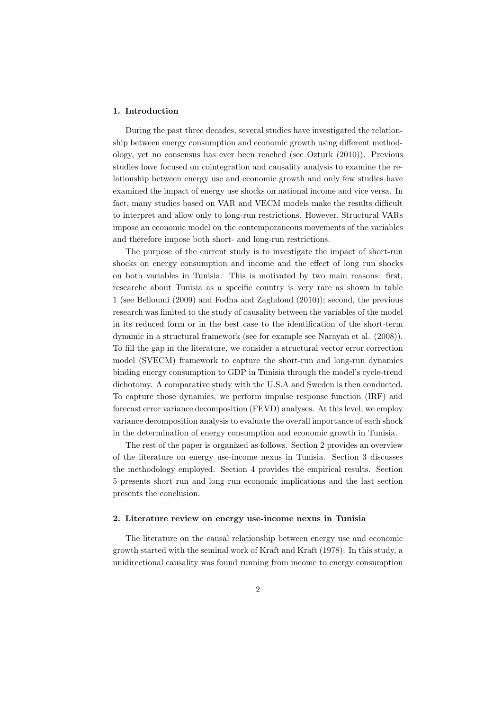# 1. Introduction

During the past three decades, several studies have investigated the relationship between energy consumption and economic growth using different methodology, yet no consensus has ever been reached (see Ozturk (2010)). Previous studies have focused on cointegration and causality analysis to examine the relationship between energy use and economic growth and only few studies have examined the impact of energy use shocks on national income and vice versa. In fact, many studies based on VAR and VECM models make the results difficult to interpret and allow only to long-run restrictions. However, Structural VARs impose an economic model on the contemporaneous movements of the variables and therefore impose both short- and long-run restrictions.

The purpose of the current study is to investigate the impact of short-run shocks on energy consumption and income and the effect of long run shocks on both variables in Tunisia. This is motivated by two main reasons: first, researche about Tunisia as a specific country is very rare as shown in table 1 (see Belloumi (2009) and Fodha and Zaghdoud (2010)); second, the previous research was limited to the study of causality between the variables of the model in its reduced form or in the best case to the identification of the short-term dynamic in a structural framework (see for example see Narayan et al. (2008)). To fill the gap in the literature, we consider a structural vector error correction model (SVECM) framework to capture the short-run and long-run dynamics binding energy consumption to GDP in Tunisia through the model's cycle-trend dichotomy. A comparative study with the U.S.A and Sweden is then conducted. To capture those dynamics, we perform impulse response function (IRF) and forecast error variance decomposition (FEVD) analyses. At this level, we employ variance decomposition analysis to evaluate the overall importance of each shock in the determination of energy consumption and economic growth in Tunisia.

The rest of the paper is organized as follows. Section 2 provides an overview of the literature on energy use-income nexus in Tunisia. Section 3 discusses the methodology employed. Section 4 provides the empirical results. Section 5 presents short run and long run economic implications and the last section presents the conclusion.

# 2. Literature review on energy use-income nexus in Tunisia

The literature on the causal relationship between energy use and economic growth started with the seminal work of Kraft and Kraft (1978). In this study, a unidirectional causality was found running from income to energy consumption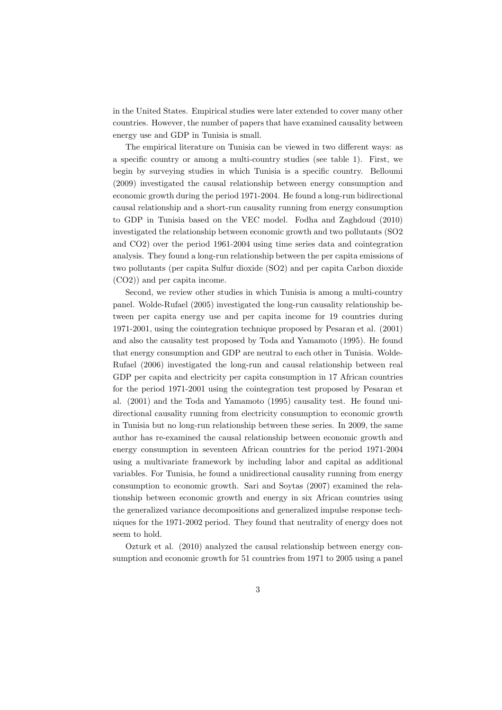in the United States. Empirical studies were later extended to cover many other countries. However, the number of papers that have examined causality between energy use and GDP in Tunisia is small.

The empirical literature on Tunisia can be viewed in two different ways: as a specific country or among a multi-country studies (see table 1). First, we begin by surveying studies in which Tunisia is a specific country. Belloumi (2009) investigated the causal relationship between energy consumption and economic growth during the period 1971-2004. He found a long-run bidirectional causal relationship and a short-run causality running from energy consumption to GDP in Tunisia based on the VEC model. Fodha and Zaghdoud (2010) investigated the relationship between economic growth and two pollutants (SO2 and CO2) over the period 1961-2004 using time series data and cointegration analysis. They found a long-run relationship between the per capita emissions of two pollutants (per capita Sulfur dioxide (SO2) and per capita Carbon dioxide (CO2)) and per capita income.

Second, we review other studies in which Tunisia is among a multi-country panel. Wolde-Rufael (2005) investigated the long-run causality relationship between per capita energy use and per capita income for 19 countries during 1971-2001, using the cointegration technique proposed by Pesaran et al. (2001) and also the causality test proposed by Toda and Yamamoto (1995). He found that energy consumption and GDP are neutral to each other in Tunisia. Wolde-Rufael (2006) investigated the long-run and causal relationship between real GDP per capita and electricity per capita consumption in 17 African countries for the period 1971-2001 using the cointegration test proposed by Pesaran et al. (2001) and the Toda and Yamamoto (1995) causality test. He found unidirectional causality running from electricity consumption to economic growth in Tunisia but no long-run relationship between these series. In 2009, the same author has re-examined the causal relationship between economic growth and energy consumption in seventeen African countries for the period 1971-2004 using a multivariate framework by including labor and capital as additional variables. For Tunisia, he found a unidirectional causality running from energy consumption to economic growth. Sari and Soytas (2007) examined the relationship between economic growth and energy in six African countries using the generalized variance decompositions and generalized impulse response techniques for the 1971-2002 period. They found that neutrality of energy does not seem to hold.

Ozturk et al. (2010) analyzed the causal relationship between energy consumption and economic growth for 51 countries from 1971 to 2005 using a panel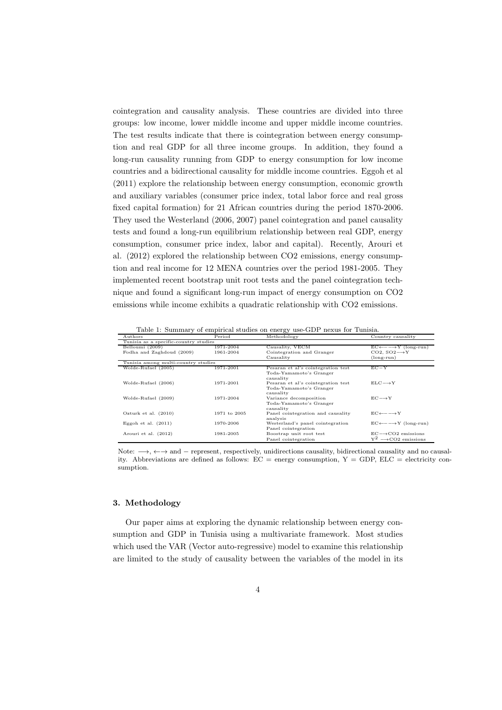cointegration and causality analysis. These countries are divided into three groups: low income, lower middle income and upper middle income countries. The test results indicate that there is cointegration between energy consumption and real GDP for all three income groups. In addition, they found a long-run causality running from GDP to energy consumption for low income countries and a bidirectional causality for middle income countries. Eggoh et al (2011) explore the relationship between energy consumption, economic growth and auxiliary variables (consumer price index, total labor force and real gross fixed capital formation) for 21 African countries during the period 1870-2006. They used the Westerland (2006, 2007) panel cointegration and panel causality tests and found a long-run equilibrium relationship between real GDP, energy consumption, consumer price index, labor and capital). Recently, Arouri et al. (2012) explored the relationship between CO2 emissions, energy consumption and real income for 12 MENA countries over the period 1981-2005. They implemented recent bootstrap unit root tests and the panel cointegration technique and found a significant long-run impact of energy consumption on CO2 emissions while income exhibits a quadratic relationship with CO2 emissions.

Table 1: Summary of empirical studies on energy use-GDP nexus for Tunisia.

| $_{\rm Authors}$                      | Period       | Methodology                        | Country causality                                   |  |  |  |  |
|---------------------------------------|--------------|------------------------------------|-----------------------------------------------------|--|--|--|--|
| Tunisia as a specific-country studies |              |                                    |                                                     |  |  |  |  |
| Belloumi (2009)                       | 1971-2004    | Causality, VECM                    | $EC \leftarrow--Y$ (long-run)                       |  |  |  |  |
| Fodha and Zaghdoud (2009)             | 1961-2004    | Cointegration and Granger          | CO2, $SO2 \rightarrow Y$                            |  |  |  |  |
|                                       |              | Causality                          | $(long-run)$                                        |  |  |  |  |
| Tunisia among multi-country studies   |              |                                    |                                                     |  |  |  |  |
| Wolde-Rufael (2005)                   | 1971-2001    | Pesaran et al's cointegration test | $EC-Y$                                              |  |  |  |  |
|                                       |              | Toda-Yamamoto's Granger            |                                                     |  |  |  |  |
|                                       |              | causality                          |                                                     |  |  |  |  |
| Wolde-Rufael (2006)                   | 1971-2001    | Pesaran et al's cointegration test | $ELC \rightarrow Y$                                 |  |  |  |  |
|                                       |              | Toda-Yamamoto's Granger            |                                                     |  |  |  |  |
|                                       |              | causality                          |                                                     |  |  |  |  |
| Wolde-Rufael (2009)                   | 1971-2004    | Variance decomposition             | $EC \rightarrow Y$                                  |  |  |  |  |
|                                       |              | Toda-Yamamoto's Granger            |                                                     |  |  |  |  |
|                                       |              | causality                          |                                                     |  |  |  |  |
| Ozturk et al. $(2010)$                | 1971 to 2005 | Panel cointegration and causality  | $EC \leftarrow \leftarrow \rightarrow Y$            |  |  |  |  |
|                                       |              | analysis                           |                                                     |  |  |  |  |
| Eggoh et al. $(2011)$                 | 1970-2006    | Westerland's panel cointegration   | $EC \leftarrow \leftarrow \rightarrow Y$ (long-run) |  |  |  |  |
|                                       |              | Panel cointegration                |                                                     |  |  |  |  |
| Arouri et al. (2012)                  | 1981-2005    | Boostrap unit root test            | $EC \rightarrow CO2$ emissions                      |  |  |  |  |
|                                       |              | Panel cointegration                | $Y^2 \longrightarrow CO2$ emissions                 |  |  |  |  |

Note: →, ←→ and – represent, respectively, unidirections causality, bidirectional causality and no causality. Abbreviations are defined as follows:  $EC =$  energy consumption,  $Y = GDP$ ,  $ELC =$  electricity consumption.

# 3. Methodology

Our paper aims at exploring the dynamic relationship between energy consumption and GDP in Tunisia using a multivariate framework. Most studies which used the VAR (Vector auto-regressive) model to examine this relationship are limited to the study of causality between the variables of the model in its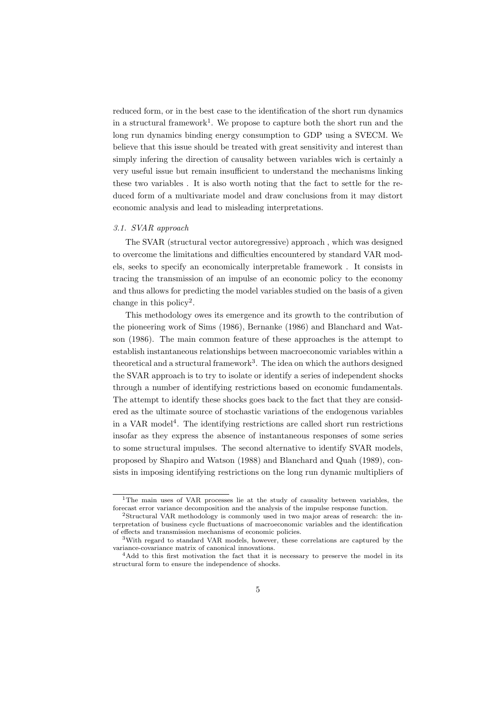reduced form, or in the best case to the identification of the short run dynamics in a structural framework<sup>1</sup>. We propose to capture both the short run and the long run dynamics binding energy consumption to GDP using a SVECM. We believe that this issue should be treated with great sensitivity and interest than simply infering the direction of causality between variables wich is certainly a very useful issue but remain insufficient to understand the mechanisms linking these two variables . It is also worth noting that the fact to settle for the reduced form of a multivariate model and draw conclusions from it may distort economic analysis and lead to misleading interpretations.

# 3.1. SVAR approach

The SVAR (structural vector autoregressive) approach , which was designed to overcome the limitations and difficulties encountered by standard VAR models, seeks to specify an economically interpretable framework . It consists in tracing the transmission of an impulse of an economic policy to the economy and thus allows for predicting the model variables studied on the basis of a given change in this policy<sup>2</sup>.

This methodology owes its emergence and its growth to the contribution of the pioneering work of Sims (1986), Bernanke (1986) and Blanchard and Watson (1986). The main common feature of these approaches is the attempt to establish instantaneous relationships between macroeconomic variables within a theoretical and a structural framework<sup>3</sup>. The idea on which the authors designed the SVAR approach is to try to isolate or identify a series of independent shocks through a number of identifying restrictions based on economic fundamentals. The attempt to identify these shocks goes back to the fact that they are considered as the ultimate source of stochastic variations of the endogenous variables in a VAR model<sup>4</sup>. The identifying restrictions are called short run restrictions insofar as they express the absence of instantaneous responses of some series to some structural impulses. The second alternative to identify SVAR models, proposed by Shapiro and Watson (1988) and Blanchard and Quah (1989), consists in imposing identifying restrictions on the long run dynamic multipliers of

<sup>1</sup>The main uses of VAR processes lie at the study of causality between variables, the forecast error variance decomposition and the analysis of the impulse response function.

<sup>2</sup>Structural VAR methodology is commonly used in two major areas of research: the interpretation of business cycle fluctuations of macroeconomic variables and the identification of effects and transmission mechanisms of economic policies.

<sup>3</sup>With regard to standard VAR models, however, these correlations are captured by the variance-covariance matrix of canonical innovations.

<sup>&</sup>lt;sup>4</sup>Add to this first motivation the fact that it is necessary to preserve the model in its structural form to ensure the independence of shocks.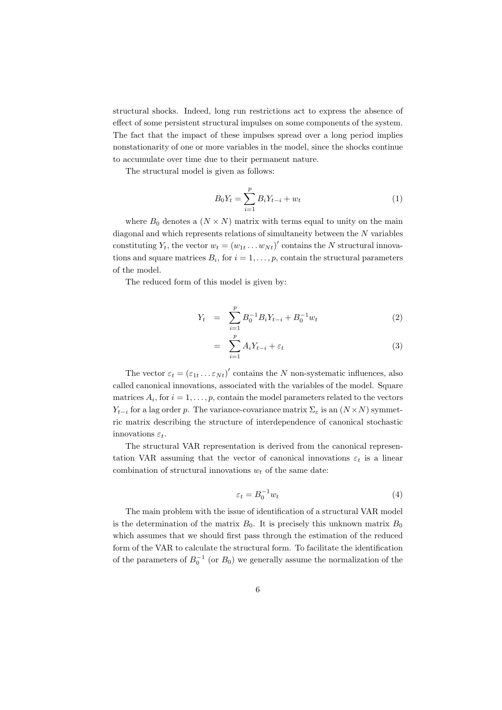structural shocks. Indeed, long run restrictions act to express the absence of effect of some persistent structural impulses on some components of the system. The fact that the impact of these impulses spread over a long period implies nonstationarity of one or more variables in the model, since the shocks continue to accumulate over time due to their permanent nature.

The structural model is given as follows:

$$
B_0 Y_t = \sum_{i=1}^p B_i Y_{t-i} + w_t \tag{1}
$$

where  $B_0$  denotes a  $(N \times N)$  matrix with terms equal to unity on the main diagonal and which represents relations of simultaneity between the N variables constituting  $Y_t$ , the vector  $w_t = (w_{1t} \dots w_{Nt})'$  contains the N structural innovations and square matrices  $B_i$ , for  $i = 1, \ldots, p$ , contain the structural parameters of the model.

The reduced form of this model is given by:

$$
Y_t = \sum_{i=1}^p B_0^{-1} B_i Y_{t-i} + B_0^{-1} w_t \tag{2}
$$

$$
= \sum_{i=1}^{p} A_i Y_{t-i} + \varepsilon_t \tag{3}
$$

The vector  $\varepsilon_t = (\varepsilon_{1t} \dots \varepsilon_{Nt})'$  contains the N non-systematic influences, also called canonical innovations, associated with the variables of the model. Square matrices  $A_i$ , for  $i = 1, \ldots, p$ , contain the model parameters related to the vectors  $Y_{t-i}$  for a lag order p. The variance-covariance matrix  $\Sigma_{\varepsilon}$  is an  $(N \times N)$  symmetric matrix describing the structure of interdependence of canonical stochastic innovations  $\varepsilon_t$ .

The structural VAR representation is derived from the canonical representation VAR assuming that the vector of canonical innovations  $\varepsilon_t$  is a linear combination of structural innovations  $w_t$  of the same date:

$$
\varepsilon_t = B_0^{-1} w_t \tag{4}
$$

The main problem with the issue of identification of a structural VAR model is the determination of the matrix  $B_0$ . It is precisely this unknown matrix  $B_0$ which assumes that we should first pass through the estimation of the reduced form of the VAR to calculate the structural form. To facilitate the identification of the parameters of  $B_0^{-1}$  (or  $B_0$ ) we generally assume the normalization of the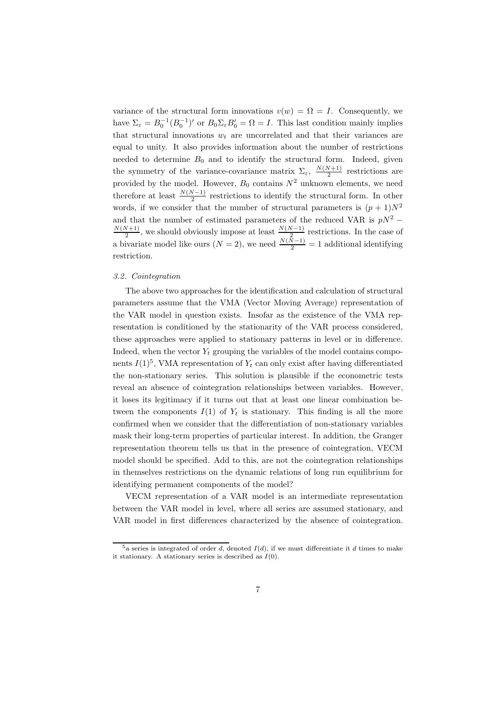variance of the structural form innovations  $v(w) = \Omega = I$ . Consequently, we have  $\Sigma_{\varepsilon} = B_0^{-1} (B_0^{-1})'$  or  $B_0 \Sigma_{\varepsilon} B_0' = \Omega = I$ . This last condition mainly implies that structural innovations  $w_t$  are uncorrelated and that their variances are equal to unity. It also provides information about the number of restrictions needed to determine  $B_0$  and to identify the structural form. Indeed, given the symmetry of the variance-covariance matrix  $\Sigma_{\varepsilon}$ ,  $\frac{N(N+1)}{2}$  $\frac{v+1}{2}$  restrictions are provided by the model. However,  $B_0$  contains  $N^2$  unknown elements, we need therefore at least  $\frac{N(N-1)}{2}$  restrictions to identify the structural form. In other words, if we consider that the number of structural parameters is  $(p+1)N^2$ and that the number of estimated parameters of the reduced VAR is  $pN^2$  −  $N(N+1)$  $\frac{N(N-1)}{2}$ , we should obviously impose at least  $\frac{N(N-1)}{2}$  restrictions. In the case of a bivariate model like ours  $(N = 2)$ , we need  $\frac{N(\tilde{N}-1)}{2} = 1$  additional identifying restriction.

# 3.2. Cointegration

The above two approaches for the identification and calculation of structural parameters assume that the VMA (Vector Moving Average) representation of the VAR model in question exists. Insofar as the existence of the VMA representation is conditioned by the stationarity of the VAR process considered, these approaches were applied to stationary patterns in level or in difference. Indeed, when the vector  $Y_t$  grouping the variables of the model contains components  $I(1)^5$ , VMA representation of  $Y_t$  can only exist after having differentiated the non-stationary series. This solution is plausible if the econometric tests reveal an absence of cointegration relationships between variables. However, it loses its legitimacy if it turns out that at least one linear combination between the components  $I(1)$  of  $Y_t$  is stationary. This finding is all the more confirmed when we consider that the differentiation of non-stationary variables mask their long-term properties of particular interest. In addition, the Granger representation theorem tells us that in the presence of cointegration, VECM model should be specified. Add to this, are not the cointegration relationships in themselves restrictions on the dynamic relations of long run equilibrium for identifying permanent components of the model?

VECM representation of a VAR model is an intermediate representation between the VAR model in level, where all series are assumed stationary, and VAR model in first differences characterized by the absence of cointegration.

 $5a$  series is integrated of order d, denoted  $I(d)$ , if we must differentiate it d times to make it stationary. A stationary series is described as  $I(0)$ .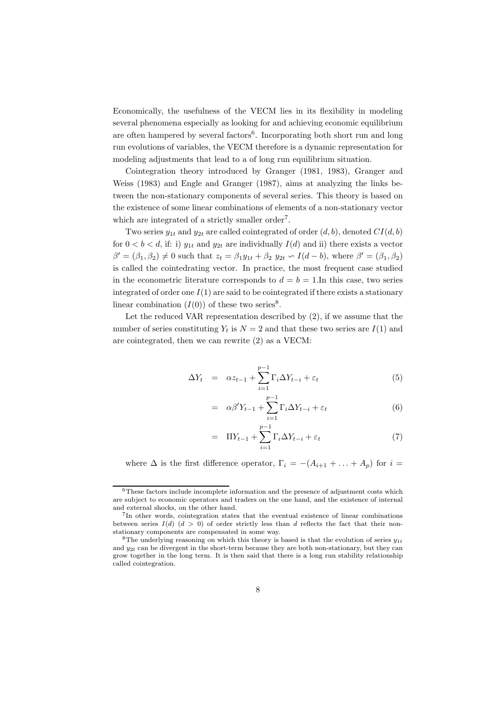Economically, the usefulness of the VECM lies in its flexibility in modeling several phenomena especially as looking for and achieving economic equilibrium are often hampered by several factors<sup>6</sup>. Incorporating both short run and long run evolutions of variables, the VECM therefore is a dynamic representation for modeling adjustments that lead to a of long run equilibrium situation.

Cointegration theory introduced by Granger (1981, 1983), Granger and Weiss (1983) and Engle and Granger (1987), aims at analyzing the links between the non-stationary components of several series. This theory is based on the existence of some linear combinations of elements of a non-stationary vector which are integrated of a strictly smaller order<sup>7</sup>.

Two series  $y_{1t}$  and  $y_{2t}$  are called cointegrated of order  $(d, b)$ , denoted  $CI(d, b)$ for  $0 < b < d$ , if: i)  $y_{1t}$  and  $y_{2t}$  are individually  $I(d)$  and ii) there exists a vector  $\beta' = (\beta_1, \beta_2) \neq 0$  such that  $z_t = \beta_1 y_{1t} + \beta_2 y_{2t} \circ I(d-b)$ , where  $\beta' = (\beta_1, \beta_2)$ is called the cointedrating vector. In practice, the most frequent case studied in the econometric literature corresponds to  $d = b = 1$ . In this case, two series integrated of order one  $I(1)$  are said to be cointegrated if there exists a stationary linear combination  $(I(0))$  of these two series<sup>8</sup>.

Let the reduced VAR representation described by (2), if we assume that the number of series constituting  $Y_t$  is  $N = 2$  and that these two series are  $I(1)$  and are cointegrated, then we can rewrite (2) as a VECM:

$$
\Delta Y_t = \alpha z_{t-1} + \sum_{i=1}^{p-1} \Gamma_i \Delta Y_{t-i} + \varepsilon_t \tag{5}
$$

$$
= \alpha \beta' Y_{t-1} + \sum_{i=1}^{p-1} \Gamma_i \Delta Y_{t-i} + \varepsilon_t \tag{6}
$$

$$
= \Pi Y_{t-1} + \sum_{i=1}^{p-1} \Gamma_i \Delta Y_{t-i} + \varepsilon_t \tag{7}
$$

where  $\Delta$  is the first difference operator,  $\Gamma_i = -(A_{i+1} + \ldots + A_n)$  for  $i =$ 

 $6$ These factors include incomplete information and the presence of adjustment costs which are subject to economic operators and traders on the one hand, and the existence of internal and external shocks, on the other hand.

<sup>7</sup> In other words, cointegration states that the eventual existence of linear combinations between series  $I(d)$  ( $d > 0$ ) of order strictly less than d reflects the fact that their nonstationary components are compensated in some way.

<sup>&</sup>lt;sup>8</sup>The underlying reasoning on which this theory is based is that the evolution of series  $y_{1t}$ and  $y_{2t}$  can be divergent in the short-term because they are both non-stationary, but they can grow together in the long term. It is then said that there is a long run stability relationship called cointegration.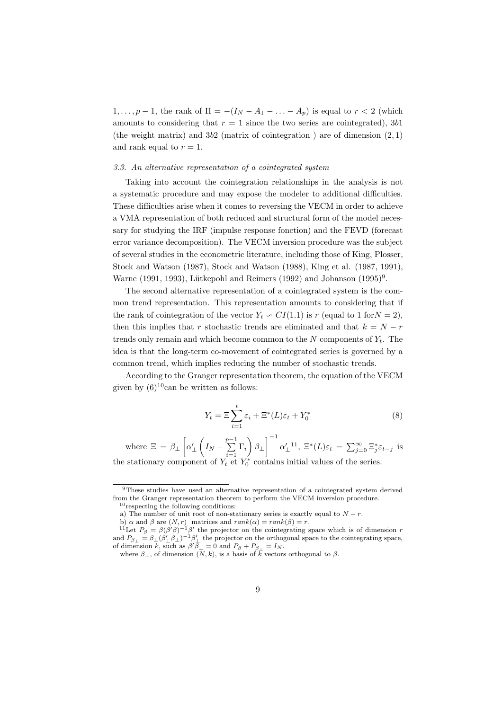$1, \ldots, p-1$ , the rank of  $\Pi = -(I_N - A_1 - \ldots - A_p)$  is equal to  $r < 2$  (which amounts to considering that  $r = 1$  since the two series are cointegrated), 3b1 (the weight matrix) and  $3b2$  (matrix of cointegration) are of dimension  $(2, 1)$ and rank equal to  $r = 1$ .

# 3.3. An alternative representation of a cointegrated system

Taking into account the cointegration relationships in the analysis is not a systematic procedure and may expose the modeler to additional difficulties. These difficulties arise when it comes to reversing the VECM in order to achieve a VMA representation of both reduced and structural form of the model necessary for studying the IRF (impulse response fonction) and the FEVD (forecast error variance decomposition). The VECM inversion procedure was the subject of several studies in the econometric literature, including those of King, Plosser, Stock and Watson (1987), Stock and Watson (1988), King et al. (1987, 1991), Warne (1991, 1993), Lütkepohl and Reimers (1992) and Johanson  $(1995)^9$ .

The second alternative representation of a cointegrated system is the common trend representation. This representation amounts to considering that if the rank of cointegration of the vector  $Y_t \text{ ∼ } CI(1.1)$  is r (equal to 1 for  $N = 2$ ), then this implies that r stochastic trends are eliminated and that  $k = N - r$ trends only remain and which become common to the  $N$  components of  $Y_t$ . The idea is that the long-term co-movement of cointegrated series is governed by a common trend, which implies reducing the number of stochastic trends.

According to the Granger representation theorem, the equation of the VECM given by  $(6)^{10}$ can be written as follows:

$$
Y_t = \Xi \sum_{i=1}^t \varepsilon_i + \Xi^*(L)\varepsilon_t + Y_0^*
$$
\n(8)

where  $\Xi = \beta_{\perp}$  $\overline{1}$  $\alpha'_{\perp}$  $\sqrt{ }$  $I_N - \sum_{ }^{p-1}$  $\sum_{i=1}$   $\Gamma_i$  $\overline{ }$  $\beta_\perp$  $1^{-1}$  $\alpha'_{\perp}{}^{11}, \ \Xi^*(L)\varepsilon_t = \sum_{j=0}^{\infty} \Xi_j^* \varepsilon_{t-j}$  is the stationary component of  $Y_t^{\iota-1} Y_0^*$  contains initial values of the series.

<sup>9</sup>These studies have used an alternative representation of a cointegrated system derived from the Granger representation theorem to perform the VECM inversion procedure.  $10$  respecting the following conditions:

a) The number of unit root of non-stationary series is exactly equal to  $N - r$ .

b)  $\alpha$  and  $\beta$  are  $(N, r)$  matrices and  $rank(\alpha) = rank(\beta) = r$ .<br><sup>11</sup>Let  $P_{\beta} = \beta(\beta'\beta)^{-1}\beta'$  the projector on the cointegrating space which is of dimension r and  $P_{\beta_{\perp}} = \beta_{\perp} (\beta'_{\perp} \beta_{\perp})^{-1} \beta'_{\perp}$  the projector on the orthogonal space to the cointegrating space, of dimension k, such as  $\beta' \overline{\beta_{\perp}} = 0$  and  $P_{\beta} + P_{\beta_{\perp}} = I_N$ .

where  $\beta_{\perp}$ , of dimension  $(N, k)$ , is a basis of  $k \over k$  vectors orthogonal to  $\beta$ .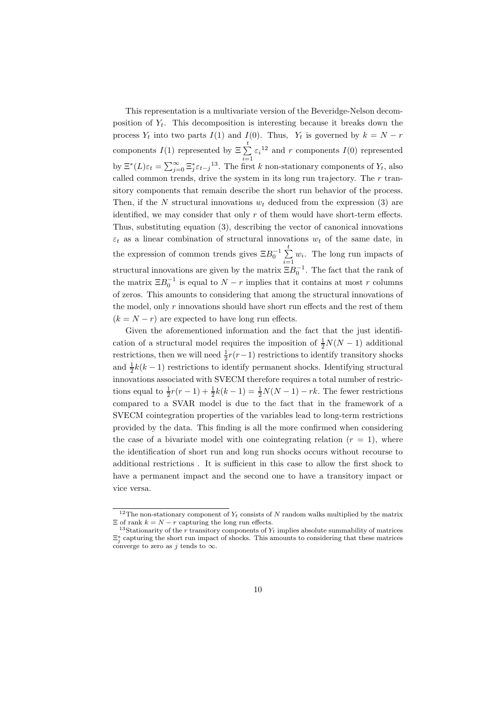This representation is a multivariate version of the Beveridge-Nelson decomposition of  $Y_t$ . This decomposition is interesting because it breaks down the process  $Y_t$  into two parts  $I(1)$  and  $I(0)$ . Thus,  $Y_t$  is governed by  $k = N - r$ components  $I(1)$  represented by  $\sum_{n=1}^{\infty}$  $\sum_{i=1} \varepsilon_i^{12}$  and r components  $I(0)$  represented by  $\Xi^*(L)\varepsilon_t = \sum_{j=0}^{\infty} \Xi_j^* \varepsilon_{t-j}^{13}$ . The first k non-stationary components of  $Y_t$ , also called common trends, drive the system in its long run trajectory. The  $r$  transitory components that remain describe the short run behavior of the process. Then, if the N structural innovations  $w_t$  deduced from the expression (3) are identified, we may consider that only r of them would have short-term effects. Thus, substituting equation (3), describing the vector of canonical innovations  $\varepsilon_t$  as a linear combination of structural innovations  $w_t$  of the same date, in the expression of common trends gives  $\Xi B_0^{-1} \sum_{ }^t$  $\sum_{i=1}^{\infty} w_i$ . The long run impacts of structural innovations are given by the matrix  $\Xi B_0^{-1}$ . The fact that the rank of the matrix  $\Xi B_0^{-1}$  is equal to  $N-r$  implies that it contains at most r columns of zeros. This amounts to considering that among the structural innovations of the model, only  $r$  innovations should have short run effects and the rest of them  $(k = N - r)$  are expected to have long run effects.

Given the aforementioned information and the fact that the just identification of a structural model requires the imposition of  $\frac{1}{2}N(N-1)$  additional restrictions, then we will need  $\frac{1}{2}r(r-1)$  restrictions to identify transitory shocks and  $\frac{1}{2}k(k-1)$  restrictions to identify permanent shocks. Identifying structural innovations associated with SVECM therefore requires a total number of restrictions equal to  $\frac{1}{2}r(r-1) + \frac{1}{2}k(k-1) = \frac{1}{2}N(N-1) - rk$ . The fewer restrictions compared to a SVAR model is due to the fact that in the framework of a SVECM cointegration properties of the variables lead to long-term restrictions provided by the data. This finding is all the more confirmed when considering the case of a bivariate model with one cointegrating relation  $(r = 1)$ , where the identification of short run and long run shocks occurs without recourse to additional restrictions . It is sufficient in this case to allow the first shock to have a permanent impact and the second one to have a transitory impact or vice versa.

<sup>&</sup>lt;sup>12</sup>The non-stationary component of  $Y_t$  consists of N random walks multiplied by the matrix  $\Xi$  of rank  $k = N - r$  capturing the long run effects.

<sup>&</sup>lt;sup>13</sup>Stationarity of the r transitory components of  $Y_t$  implies absolute summability of matrices  $\Xi_j^*$  capturing the short run impact of shocks. This amounts to considering that these matrices converge to zero as j tends to  $\infty$ .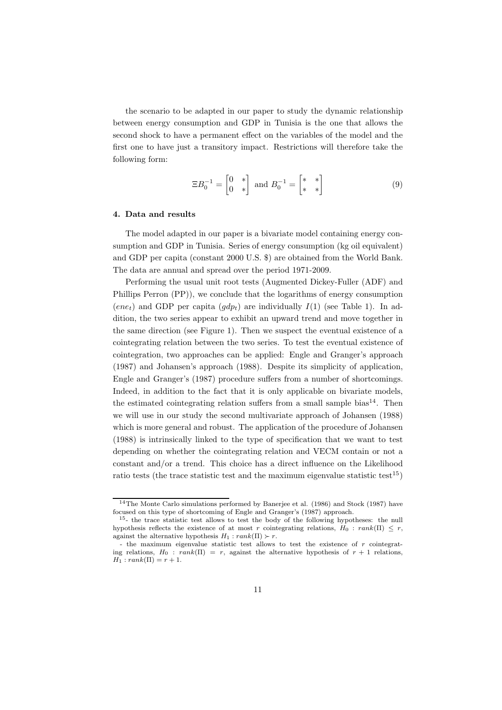the scenario to be adapted in our paper to study the dynamic relationship between energy consumption and GDP in Tunisia is the one that allows the second shock to have a permanent effect on the variables of the model and the first one to have just a transitory impact. Restrictions will therefore take the following form:

$$
\Xi B_0^{-1} = \begin{bmatrix} 0 & * \\ 0 & * \end{bmatrix} \text{ and } B_0^{-1} = \begin{bmatrix} * & * \\ * & * \end{bmatrix} \tag{9}
$$

#### 4. Data and results

The model adapted in our paper is a bivariate model containing energy consumption and GDP in Tunisia. Series of energy consumption (kg oil equivalent) and GDP per capita (constant 2000 U.S. \$) are obtained from the World Bank. The data are annual and spread over the period 1971-2009.

Performing the usual unit root tests (Augmented Dickey-Fuller (ADF) and Phillips Perron (PP)), we conclude that the logarithms of energy consumption  $(ene_t)$  and GDP per capita  $(gdp_t)$  are individually  $I(1)$  (see Table 1). In addition, the two series appear to exhibit an upward trend and move together in the same direction (see Figure 1). Then we suspect the eventual existence of a cointegrating relation between the two series. To test the eventual existence of cointegration, two approaches can be applied: Engle and Granger's approach (1987) and Johansen's approach (1988). Despite its simplicity of application, Engle and Granger's (1987) procedure suffers from a number of shortcomings. Indeed, in addition to the fact that it is only applicable on bivariate models, the estimated cointegrating relation suffers from a small sample bias<sup>14</sup>. Then we will use in our study the second multivariate approach of Johansen (1988) which is more general and robust. The application of the procedure of Johansen (1988) is intrinsically linked to the type of specification that we want to test depending on whether the cointegrating relation and VECM contain or not a constant and/or a trend. This choice has a direct influence on the Likelihood ratio tests (the trace statistic test and the maximum eigenvalue statistic test<sup>15</sup>)

<sup>&</sup>lt;sup>14</sup>The Monte Carlo simulations performed by Banerjee et al. (1986) and Stock (1987) have focused on this type of shortcoming of Engle and Granger's (1987) approach.

<sup>&</sup>lt;sup>15</sup>- the trace statistic test allows to test the body of the following hypotheses: the null hypothesis reflects the existence of at most r cointegrating relations,  $H_0 : rank(\Pi) \leq r$ , against the alternative hypothesis  $H_1 : rank(\Pi) \succ r$ .

<sup>-</sup> the maximum eigenvalue statistic test allows to test the existence of r cointegrating relations,  $H_0$ :  $rank(\Pi) = r$ , against the alternative hypothesis of  $r + 1$  relations,  $H_1 : rank(\Pi) = r + 1.$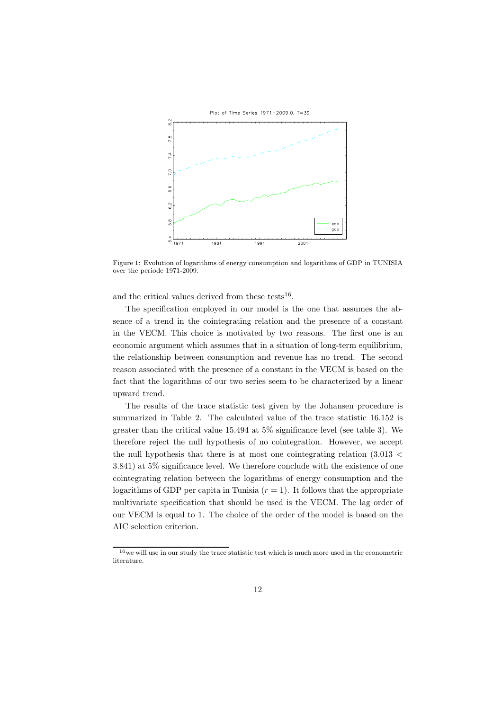

Figure 1: Evolution of logarithms of energy consumption and logarithms of GDP in TUNISIA over the periode 1971-2009.

and the critical values derived from these tests<sup>16</sup>.

The specification employed in our model is the one that assumes the absence of a trend in the cointegrating relation and the presence of a constant in the VECM. This choice is motivated by two reasons. The first one is an economic argument which assumes that in a situation of long-term equilibrium, the relationship between consumption and revenue has no trend. The second reason associated with the presence of a constant in the VECM is based on the fact that the logarithms of our two series seem to be characterized by a linear upward trend.

The results of the trace statistic test given by the Johansen procedure is summarized in Table 2. The calculated value of the trace statistic 16.152 is greater than the critical value 15.494 at 5% significance level (see table 3). We therefore reject the null hypothesis of no cointegration. However, we accept the null hypothesis that there is at most one cointegrating relation (3.013 < 3.841) at 5% significance level. We therefore conclude with the existence of one cointegrating relation between the logarithms of energy consumption and the logarithms of GDP per capita in Tunisia  $(r = 1)$ . It follows that the appropriate multivariate specification that should be used is the VECM. The lag order of our VECM is equal to 1. The choice of the order of the model is based on the AIC selection criterion.

 $16$  we will use in our study the trace statistic test which is much more used in the econometric literature.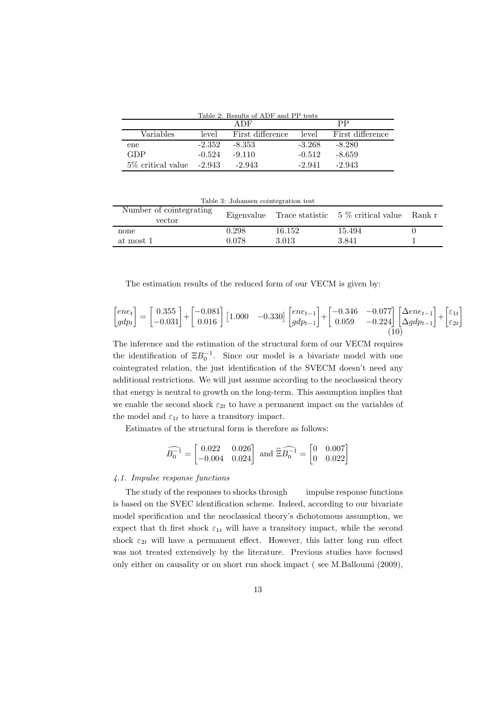Table 2: Results of ADF and PP tests

|                               | A DF     |                  | PP       |                  |
|-------------------------------|----------|------------------|----------|------------------|
| Variables                     | level    | First difference | level    | First difference |
| ene                           | $-2.352$ | $-8.353$         | $-3.268$ | $-8.280$         |
| GDP                           | $-0.524$ | $-9.110$         | $-0.512$ | $-8.659$         |
| $5\%$ critical value $-2.943$ |          | $-2.943$         | $-2.941$ | $-2.943$         |

Table 3: Johansen cointegration test

| Number of cointegrating<br>vector |       |        | Eigenvalue Trace statistic $5\%$ critical value Rank r |  |
|-----------------------------------|-------|--------|--------------------------------------------------------|--|
| none                              | 0.298 | 16.152 | 15.494                                                 |  |
| at most 1                         | 0.078 | 3.013  | 3.841                                                  |  |

The estimation results of the reduced form of our VECM is given by:

$$
\begin{bmatrix} e n e_t \\ g d p_t \end{bmatrix} = \begin{bmatrix} 0.355 \\ -0.031 \end{bmatrix} + \begin{bmatrix} -0.081 \\ 0.016 \end{bmatrix} \begin{bmatrix} 1.000 & -0.330 \end{bmatrix} \begin{bmatrix} e n e_{t-1} \\ g d p_{t-1} \end{bmatrix} + \begin{bmatrix} -0.346 & -0.077 \\ 0.059 & -0.224 \end{bmatrix} \begin{bmatrix} \Delta e n e_{t-1} \\ \Delta g d p_{t-1} \end{bmatrix} + \begin{bmatrix} \varepsilon_{1t} \\ \varepsilon_{2t} \end{bmatrix} \tag{10}
$$

The inference and the estimation of the structural form of our VECM requires the identification of  $\Xi B_0^{-1}$ . Since our model is a bivariate model with one cointegrated relation, the just identification of the SVECM doesn't need any additional restrictions. We will just assume according to the neoclassical theory that energy is neutral to growth on the long-term. This assumption implies that we enable the second shock  $\varepsilon_{2t}$  to have a permanent impact on the variables of the model and  $\varepsilon_{1t}$  to have a transitory impact.

Estimates of the structural form is therefore as follows:

$$
\widehat{B_0^{-1}} = \begin{bmatrix} 0.022 & 0.026 \\ -0.004 & 0.024 \end{bmatrix} \text{ and } \widehat{\Xi} \widehat{B_0^{-1}} = \begin{bmatrix} 0 & 0.007 \\ 0 & 0.022 \end{bmatrix}
$$

# 4.1. Impulse response functions

The study of the responses to shocks through impulse response functions is based on the SVEC identification scheme. Indeed, according to our bivariate model specification and the neoclassical theory's dichotomous assumption, we expect that th first shock  $\varepsilon_{1t}$  will have a transitory impact, while the second shock  $\varepsilon_{2t}$  will have a permanent effect. However, this latter long run effect was not treated extensively by the literature. Previous studies have focused only either on causality or on short run shock impact ( see M.Balloumi (2009),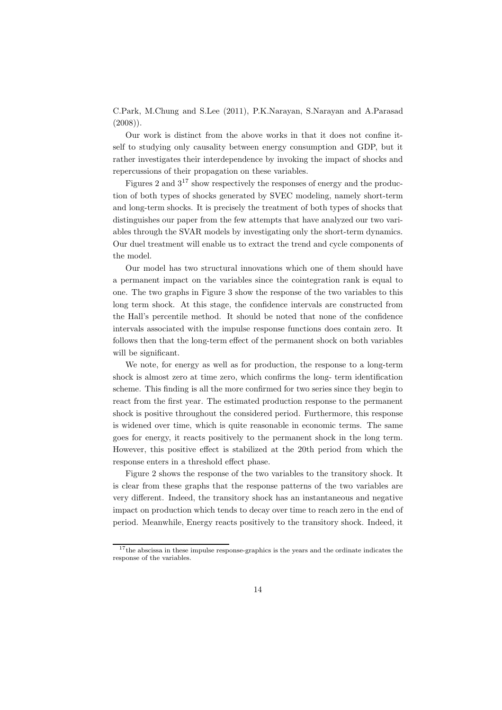C.Park, M.Chung and S.Lee (2011), P.K.Narayan, S.Narayan and A.Parasad  $(2008)$ ).

Our work is distinct from the above works in that it does not confine itself to studying only causality between energy consumption and GDP, but it rather investigates their interdependence by invoking the impact of shocks and repercussions of their propagation on these variables.

Figures 2 and  $3^{17}$  show respectively the responses of energy and the production of both types of shocks generated by SVEC modeling, namely short-term and long-term shocks. It is precisely the treatment of both types of shocks that distinguishes our paper from the few attempts that have analyzed our two variables through the SVAR models by investigating only the short-term dynamics. Our duel treatment will enable us to extract the trend and cycle components of the model.

Our model has two structural innovations which one of them should have a permanent impact on the variables since the cointegration rank is equal to one. The two graphs in Figure 3 show the response of the two variables to this long term shock. At this stage, the confidence intervals are constructed from the Hall's percentile method. It should be noted that none of the confidence intervals associated with the impulse response functions does contain zero. It follows then that the long-term effect of the permanent shock on both variables will be significant.

We note, for energy as well as for production, the response to a long-term shock is almost zero at time zero, which confirms the long- term identification scheme. This finding is all the more confirmed for two series since they begin to react from the first year. The estimated production response to the permanent shock is positive throughout the considered period. Furthermore, this response is widened over time, which is quite reasonable in economic terms. The same goes for energy, it reacts positively to the permanent shock in the long term. However, this positive effect is stabilized at the 20th period from which the response enters in a threshold effect phase.

Figure 2 shows the response of the two variables to the transitory shock. It is clear from these graphs that the response patterns of the two variables are very different. Indeed, the transitory shock has an instantaneous and negative impact on production which tends to decay over time to reach zero in the end of period. Meanwhile, Energy reacts positively to the transitory shock. Indeed, it

<sup>&</sup>lt;sup>17</sup>the abscissa in these impulse response-graphics is the years and the ordinate indicates the response of the variables.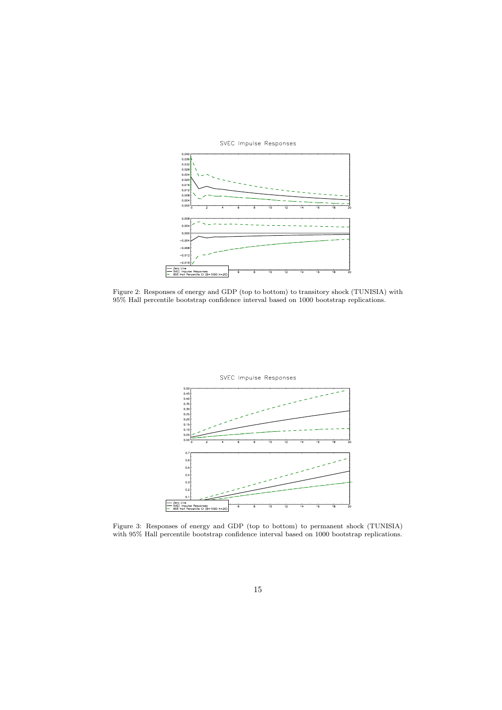

SVEC Impulse Responses

Figure 2: Responses of energy and GDP (top to bottom) to transitory shock (TUNISIA) with 95% Hall percentile bootstrap confidence interval based on 1000 bootstrap replications.



Figure 3: Responses of energy and GDP (top to bottom) to permanent shock (TUNISIA) with 95% Hall percentile bootstrap confidence interval based on 1000 bootstrap replications.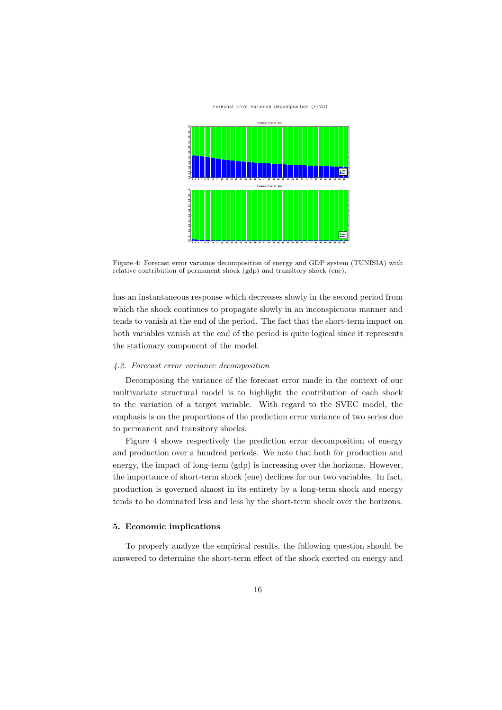#### Forecast Error Variance Decomposition (FEVD)



Figure 4: Forecast error variance decomposition of energy and GDP system (TUNISIA) with relative contribution of permanent shock (gdp) and transitory shock (ene).

has an instantaneous response which decreases slowly in the second period from which the shock continues to propagate slowly in an inconspicuous manner and tends to vanish at the end of the period. The fact that the short-term impact on both variables vanish at the end of the period is quite logical since it represents the stationary component of the model.

# 4.2. Forecast error variance decomposition

Decomposing the variance of the forecast error made in the context of our multivariate structural model is to highlight the contribution of each shock to the variation of a target variable. With regard to the SVEC model, the emphasis is on the proportions of the prediction error variance of two series due to permanent and transitory shocks.

Figure 4 shows respectively the prediction error decomposition of energy and production over a hundred periods. We note that both for production and energy, the impact of long-term (gdp) is increasing over the horizons. However, the importance of short-term shock (ene) declines for our two variables. In fact, production is governed almost in its entirety by a long-term shock and energy tends to be dominated less and less by the short-term shock over the horizons.

# 5. Economic implications

To properly analyze the empirical results, the following question should be answered to determine the short-term effect of the shock exerted on energy and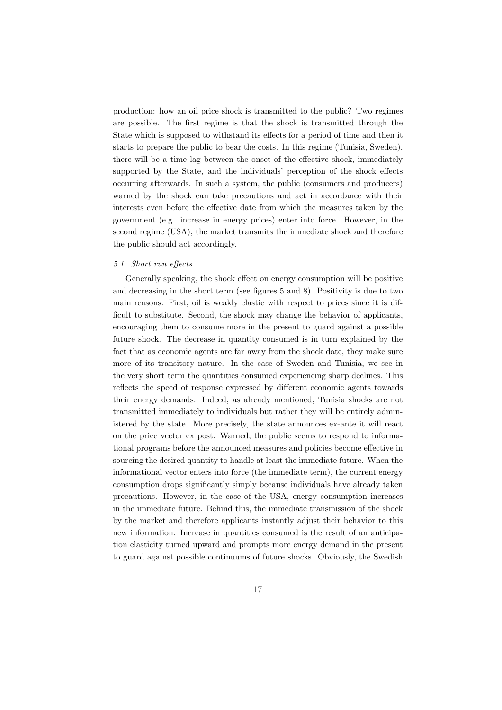production: how an oil price shock is transmitted to the public? Two regimes are possible. The first regime is that the shock is transmitted through the State which is supposed to withstand its effects for a period of time and then it starts to prepare the public to bear the costs. In this regime (Tunisia, Sweden), there will be a time lag between the onset of the effective shock, immediately supported by the State, and the individuals' perception of the shock effects occurring afterwards. In such a system, the public (consumers and producers) warned by the shock can take precautions and act in accordance with their interests even before the effective date from which the measures taken by the government (e.g. increase in energy prices) enter into force. However, in the second regime (USA), the market transmits the immediate shock and therefore the public should act accordingly.

# 5.1. Short run effects

Generally speaking, the shock effect on energy consumption will be positive and decreasing in the short term (see figures 5 and 8). Positivity is due to two main reasons. First, oil is weakly elastic with respect to prices since it is difficult to substitute. Second, the shock may change the behavior of applicants, encouraging them to consume more in the present to guard against a possible future shock. The decrease in quantity consumed is in turn explained by the fact that as economic agents are far away from the shock date, they make sure more of its transitory nature. In the case of Sweden and Tunisia, we see in the very short term the quantities consumed experiencing sharp declines. This reflects the speed of response expressed by different economic agents towards their energy demands. Indeed, as already mentioned, Tunisia shocks are not transmitted immediately to individuals but rather they will be entirely administered by the state. More precisely, the state announces ex-ante it will react on the price vector ex post. Warned, the public seems to respond to informational programs before the announced measures and policies become effective in sourcing the desired quantity to handle at least the immediate future. When the informational vector enters into force (the immediate term), the current energy consumption drops significantly simply because individuals have already taken precautions. However, in the case of the USA, energy consumption increases in the immediate future. Behind this, the immediate transmission of the shock by the market and therefore applicants instantly adjust their behavior to this new information. Increase in quantities consumed is the result of an anticipation elasticity turned upward and prompts more energy demand in the present to guard against possible continuums of future shocks. Obviously, the Swedish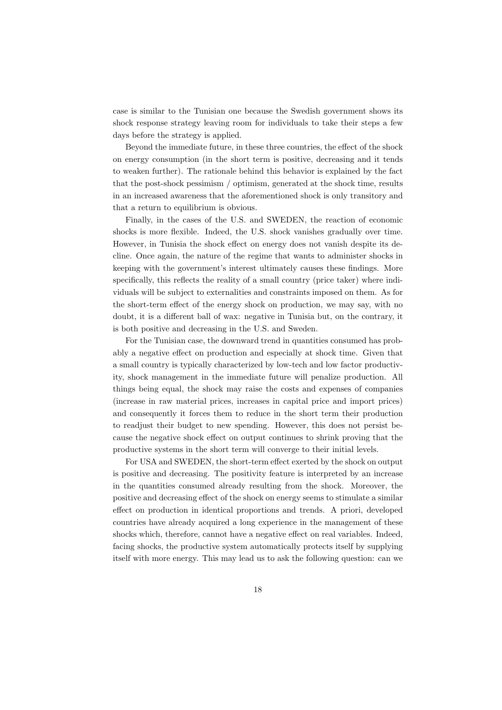case is similar to the Tunisian one because the Swedish government shows its shock response strategy leaving room for individuals to take their steps a few days before the strategy is applied.

Beyond the immediate future, in these three countries, the effect of the shock on energy consumption (in the short term is positive, decreasing and it tends to weaken further). The rationale behind this behavior is explained by the fact that the post-shock pessimism / optimism, generated at the shock time, results in an increased awareness that the aforementioned shock is only transitory and that a return to equilibrium is obvious.

Finally, in the cases of the U.S. and SWEDEN, the reaction of economic shocks is more flexible. Indeed, the U.S. shock vanishes gradually over time. However, in Tunisia the shock effect on energy does not vanish despite its decline. Once again, the nature of the regime that wants to administer shocks in keeping with the government's interest ultimately causes these findings. More specifically, this reflects the reality of a small country (price taker) where individuals will be subject to externalities and constraints imposed on them. As for the short-term effect of the energy shock on production, we may say, with no doubt, it is a different ball of wax: negative in Tunisia but, on the contrary, it is both positive and decreasing in the U.S. and Sweden.

For the Tunisian case, the downward trend in quantities consumed has probably a negative effect on production and especially at shock time. Given that a small country is typically characterized by low-tech and low factor productivity, shock management in the immediate future will penalize production. All things being equal, the shock may raise the costs and expenses of companies (increase in raw material prices, increases in capital price and import prices) and consequently it forces them to reduce in the short term their production to readjust their budget to new spending. However, this does not persist because the negative shock effect on output continues to shrink proving that the productive systems in the short term will converge to their initial levels.

For USA and SWEDEN, the short-term effect exerted by the shock on output is positive and decreasing. The positivity feature is interpreted by an increase in the quantities consumed already resulting from the shock. Moreover, the positive and decreasing effect of the shock on energy seems to stimulate a similar effect on production in identical proportions and trends. A priori, developed countries have already acquired a long experience in the management of these shocks which, therefore, cannot have a negative effect on real variables. Indeed, facing shocks, the productive system automatically protects itself by supplying itself with more energy. This may lead us to ask the following question: can we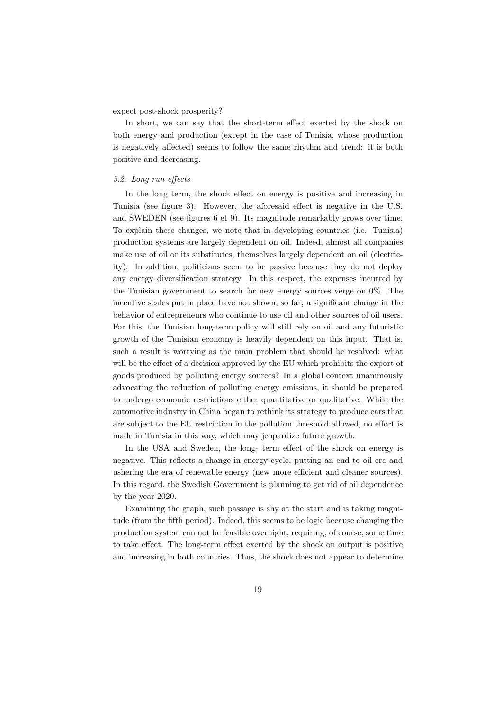expect post-shock prosperity?

In short, we can say that the short-term effect exerted by the shock on both energy and production (except in the case of Tunisia, whose production is negatively affected) seems to follow the same rhythm and trend: it is both positive and decreasing.

# 5.2. Long run effects

In the long term, the shock effect on energy is positive and increasing in Tunisia (see figure 3). However, the aforesaid effect is negative in the U.S. and SWEDEN (see figures 6 et 9). Its magnitude remarkably grows over time. To explain these changes, we note that in developing countries (i.e. Tunisia) production systems are largely dependent on oil. Indeed, almost all companies make use of oil or its substitutes, themselves largely dependent on oil (electricity). In addition, politicians seem to be passive because they do not deploy any energy diversification strategy. In this respect, the expenses incurred by the Tunisian government to search for new energy sources verge on 0%. The incentive scales put in place have not shown, so far, a significant change in the behavior of entrepreneurs who continue to use oil and other sources of oil users. For this, the Tunisian long-term policy will still rely on oil and any futuristic growth of the Tunisian economy is heavily dependent on this input. That is, such a result is worrying as the main problem that should be resolved: what will be the effect of a decision approved by the EU which prohibits the export of goods produced by polluting energy sources? In a global context unanimously advocating the reduction of polluting energy emissions, it should be prepared to undergo economic restrictions either quantitative or qualitative. While the automotive industry in China began to rethink its strategy to produce cars that are subject to the EU restriction in the pollution threshold allowed, no effort is made in Tunisia in this way, which may jeopardize future growth.

In the USA and Sweden, the long- term effect of the shock on energy is negative. This reflects a change in energy cycle, putting an end to oil era and ushering the era of renewable energy (new more efficient and cleaner sources). In this regard, the Swedish Government is planning to get rid of oil dependence by the year 2020.

Examining the graph, such passage is shy at the start and is taking magnitude (from the fifth period). Indeed, this seems to be logic because changing the production system can not be feasible overnight, requiring, of course, some time to take effect. The long-term effect exerted by the shock on output is positive and increasing in both countries. Thus, the shock does not appear to determine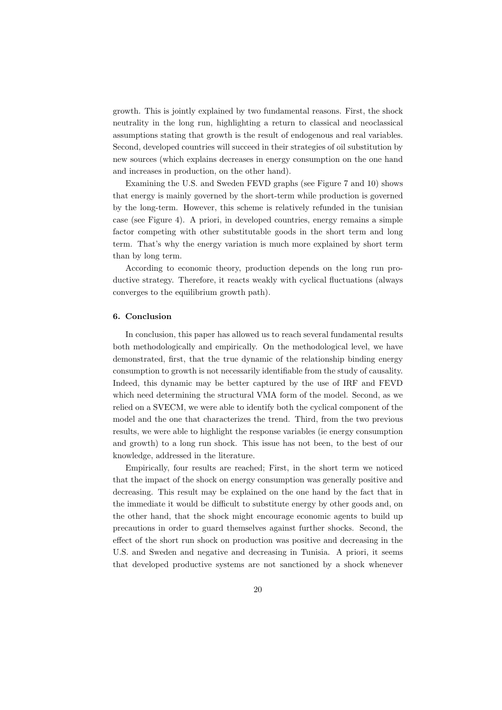growth. This is jointly explained by two fundamental reasons. First, the shock neutrality in the long run, highlighting a return to classical and neoclassical assumptions stating that growth is the result of endogenous and real variables. Second, developed countries will succeed in their strategies of oil substitution by new sources (which explains decreases in energy consumption on the one hand and increases in production, on the other hand).

Examining the U.S. and Sweden FEVD graphs (see Figure 7 and 10) shows that energy is mainly governed by the short-term while production is governed by the long-term. However, this scheme is relatively refunded in the tunisian case (see Figure 4). A priori, in developed countries, energy remains a simple factor competing with other substitutable goods in the short term and long term. That's why the energy variation is much more explained by short term than by long term.

According to economic theory, production depends on the long run productive strategy. Therefore, it reacts weakly with cyclical fluctuations (always converges to the equilibrium growth path).

# 6. Conclusion

In conclusion, this paper has allowed us to reach several fundamental results both methodologically and empirically. On the methodological level, we have demonstrated, first, that the true dynamic of the relationship binding energy consumption to growth is not necessarily identifiable from the study of causality. Indeed, this dynamic may be better captured by the use of IRF and FEVD which need determining the structural VMA form of the model. Second, as we relied on a SVECM, we were able to identify both the cyclical component of the model and the one that characterizes the trend. Third, from the two previous results, we were able to highlight the response variables (ie energy consumption and growth) to a long run shock. This issue has not been, to the best of our knowledge, addressed in the literature.

Empirically, four results are reached; First, in the short term we noticed that the impact of the shock on energy consumption was generally positive and decreasing. This result may be explained on the one hand by the fact that in the immediate it would be difficult to substitute energy by other goods and, on the other hand, that the shock might encourage economic agents to build up precautions in order to guard themselves against further shocks. Second, the effect of the short run shock on production was positive and decreasing in the U.S. and Sweden and negative and decreasing in Tunisia. A priori, it seems that developed productive systems are not sanctioned by a shock whenever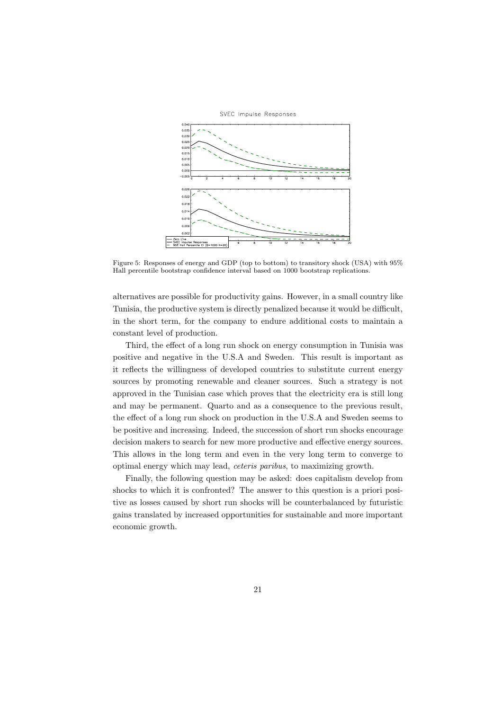

Figure 5: Responses of energy and GDP (top to bottom) to transitory shock (USA) with  $95\%$ Hall percentile bootstrap confidence interval based on 1000 bootstrap replications.

alternatives are possible for productivity gains. However, in a small country like Tunisia, the productive system is directly penalized because it would be difficult, in the short term, for the company to endure additional costs to maintain a constant level of production.

Third, the effect of a long run shock on energy consumption in Tunisia was positive and negative in the U.S.A and Sweden. This result is important as it reflects the willingness of developed countries to substitute current energy sources by promoting renewable and cleaner sources. Such a strategy is not approved in the Tunisian case which proves that the electricity era is still long and may be permanent. Quarto and as a consequence to the previous result, the effect of a long run shock on production in the U.S.A and Sweden seems to be positive and increasing. Indeed, the succession of short run shocks encourage decision makers to search for new more productive and effective energy sources. This allows in the long term and even in the very long term to converge to optimal energy which may lead, ceteris paribus, to maximizing growth.

Finally, the following question may be asked: does capitalism develop from shocks to which it is confronted? The answer to this question is a priori positive as losses caused by short run shocks will be counterbalanced by futuristic gains translated by increased opportunities for sustainable and more important economic growth.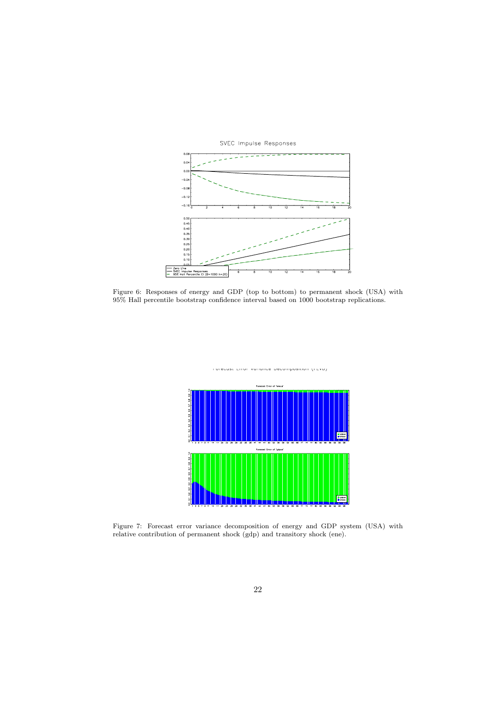

Figure 6: Responses of energy and GDP (top to bottom) to permanent shock (USA) with 95% Hall percentile bootstrap confidence interval based on 1000 bootstrap replications.



Figure 7: Forecast error variance decomposition of energy and GDP system (USA) with relative contribution of permanent shock (gdp) and transitory shock (ene).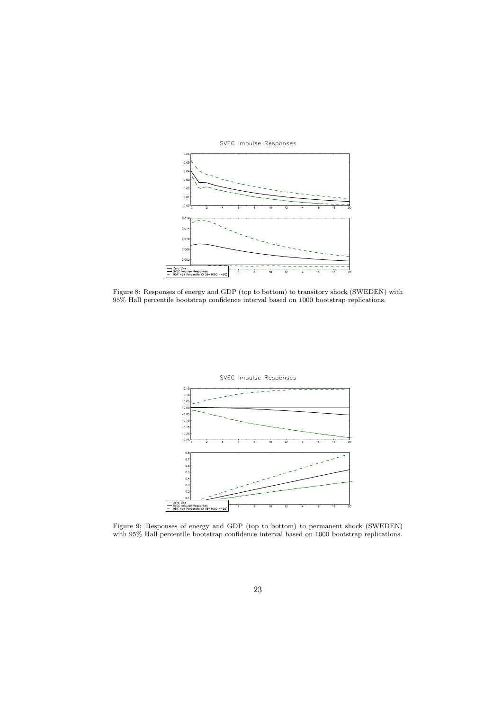

Figure 8: Responses of energy and GDP (top to bottom) to transitory shock (SWEDEN) with 95% Hall percentile bootstrap confidence interval based on 1000 bootstrap replications.



Figure 9: Responses of energy and GDP (top to bottom) to permanent shock (SWEDEN) with 95% Hall percentile bootstrap confidence interval based on 1000 bootstrap replications.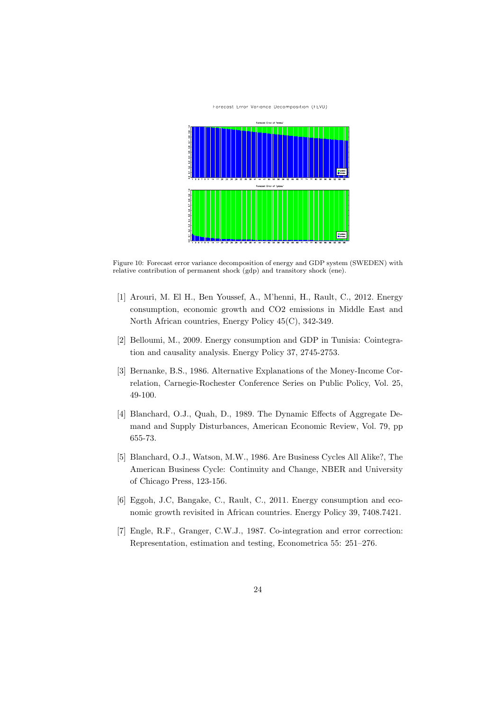#### Forecast Error Variance Decomposition (FEVD)



Figure 10: Forecast error variance decomposition of energy and GDP system (SWEDEN) with relative contribution of permanent shock (gdp) and transitory shock (ene).

- [1] Arouri, M. El H., Ben Youssef, A., M'henni, H., Rault, C., 2012. Energy consumption, economic growth and CO2 emissions in Middle East and North African countries, Energy Policy 45(C), 342-349.
- [2] Belloumi, M., 2009. Energy consumption and GDP in Tunisia: Cointegration and causality analysis. Energy Policy 37, 2745-2753.
- [3] Bernanke, B.S., 1986. Alternative Explanations of the Money-Income Correlation, Carnegie-Rochester Conference Series on Public Policy, Vol. 25, 49-100.
- [4] Blanchard, O.J., Quah, D., 1989. The Dynamic Effects of Aggregate Demand and Supply Disturbances, American Economic Review, Vol. 79, pp 655-73.
- [5] Blanchard, O.J., Watson, M.W., 1986. Are Business Cycles All Alike?, The American Business Cycle: Continuity and Change, NBER and University of Chicago Press, 123-156.
- [6] Eggoh, J.C, Bangake, C., Rault, C., 2011. Energy consumption and economic growth revisited in African countries. Energy Policy 39, 7408.7421.
- [7] Engle, R.F., Granger, C.W.J., 1987. Co-integration and error correction: Representation, estimation and testing, Econometrica 55: 251–276.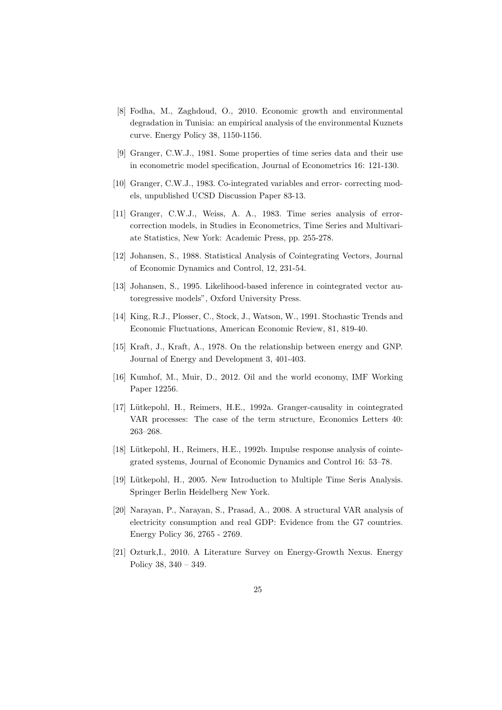- [8] Fodha, M., Zaghdoud, O., 2010. Economic growth and environmental degradation in Tunisia: an empirical analysis of the environmental Kuznets curve. Energy Policy 38, 1150-1156.
- [9] Granger, C.W.J., 1981. Some properties of time series data and their use in econometric model specification, Journal of Econometrics 16: 121-130.
- [10] Granger, C.W.J., 1983. Co-integrated variables and error- correcting models, unpublished UCSD Discussion Paper 83-13.
- [11] Granger, C.W.J., Weiss, A. A., 1983. Time series analysis of errorcorrection models, in Studies in Econometrics, Time Series and Multivariate Statistics, New York: Academic Press, pp. 255-278.
- [12] Johansen, S., 1988. Statistical Analysis of Cointegrating Vectors, Journal of Economic Dynamics and Control, 12, 231-54.
- [13] Johansen, S., 1995. Likelihood-based inference in cointegrated vector autoregressive models", Oxford University Press.
- [14] King, R.J., Plosser, C., Stock, J., Watson, W., 1991. Stochastic Trends and Economic Fluctuations, American Economic Review, 81, 819-40.
- [15] Kraft, J., Kraft, A., 1978. On the relationship between energy and GNP. Journal of Energy and Development 3, 401-403.
- [16] Kumhof, M., Muir, D., 2012. Oil and the world economy, IMF Working Paper 12256.
- [17] Lütkepohl, H., Reimers, H.E., 1992a. Granger-causality in cointegrated VAR processes: The case of the term structure, Economics Letters 40: 263–268.
- [18] Lütkepohl, H., Reimers, H.E., 1992b. Impulse response analysis of cointegrated systems, Journal of Economic Dynamics and Control 16: 53–78.
- [19] Lütkepohl, H., 2005. New Introduction to Multiple Time Seris Analysis. Springer Berlin Heidelberg New York.
- [20] Narayan, P., Narayan, S., Prasad, A., 2008. A structural VAR analysis of electricity consumption and real GDP: Evidence from the G7 countries. Energy Policy 36, 2765 - 2769.
- [21] Ozturk,I., 2010. A Literature Survey on Energy-Growth Nexus. Energy Policy 38, 340 – 349.